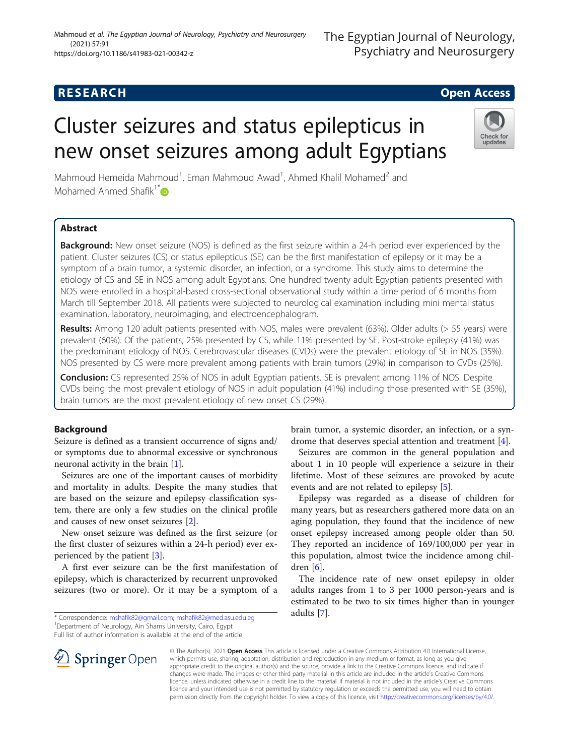(2021) 57:91

# Cluster seizures and status epilepticus in new onset seizures among adult Egyptians

Mahmoud Hemeida Mahmoud<sup>1</sup>, Eman Mahmoud Awad<sup>1</sup>, Ahmed Khalil Mohamed<sup>2</sup> and Mohamed Ahmed Shafik<sup>1\*</sup> $\bullet$ 

# Abstract

Background: New onset seizure (NOS) is defined as the first seizure within a 24-h period ever experienced by the patient. Cluster seizures (CS) or status epilepticus (SE) can be the first manifestation of epilepsy or it may be a symptom of a brain tumor, a systemic disorder, an infection, or a syndrome. This study aims to determine the etiology of CS and SE in NOS among adult Egyptians. One hundred twenty adult Egyptian patients presented with NOS were enrolled in a hospital-based cross-sectional observational study within a time period of 6 months from March till September 2018. All patients were subjected to neurological examination including mini mental status examination, laboratory, neuroimaging, and electroencephalogram.

Results: Among 120 adult patients presented with NOS, males were prevalent (63%). Older adults (> 55 years) were prevalent (60%). Of the patients, 25% presented by CS, while 11% presented by SE. Post-stroke epilepsy (41%) was the predominant etiology of NOS. Cerebrovascular diseases (CVDs) were the prevalent etiology of SE in NOS (35%). NOS presented by CS were more prevalent among patients with brain tumors (29%) in comparison to CVDs (25%).

**Conclusion:** CS represented 25% of NOS in adult Egyptian patients. SE is prevalent among 11% of NOS. Despite CVDs being the most prevalent etiology of NOS in adult population (41%) including those presented with SE (35%), brain tumors are the most prevalent etiology of new onset CS (29%).

# Background

Seizure is defined as a transient occurrence of signs and/ or symptoms due to abnormal excessive or synchronous neuronal activity in the brain [\[1\]](#page-5-0).

Seizures are one of the important causes of morbidity and mortality in adults. Despite the many studies that are based on the seizure and epilepsy classification system, there are only a few studies on the clinical profile and causes of new onset seizures [\[2](#page-5-0)].

New onset seizure was defined as the first seizure (or the first cluster of seizures within a 24-h period) ever experienced by the patient [\[3\]](#page-5-0).

A first ever seizure can be the first manifestation of epilepsy, which is characterized by recurrent unprovoked seizures (two or more). Or it may be a symptom of a

Department of Neurology, Ain Shams University, Cairo, Egypt Full list of author information is available at the end of the article

> © The Author(s). 2021 Open Access This article is licensed under a Creative Commons Attribution 4.0 International License, which permits use, sharing, adaptation, distribution and reproduction in any medium or format, as long as you give appropriate credit to the original author(s) and the source, provide a link to the Creative Commons licence, and indicate if changes were made. The images or other third party material in this article are included in the article's Creative Commons licence, unless indicated otherwise in a credit line to the material. If material is not included in the article's Creative Commons licence and your intended use is not permitted by statutory regulation or exceeds the permitted use, you will need to obtain permission directly from the copyright holder. To view a copy of this licence, visit <http://creativecommons.org/licenses/by/4.0/>.

brain tumor, a systemic disorder, an infection, or a syndrome that deserves special attention and treatment [\[4](#page-5-0)].

Seizures are common in the general population and about 1 in 10 people will experience a seizure in their lifetime. Most of these seizures are provoked by acute events and are not related to epilepsy [[5\]](#page-5-0).

Epilepsy was regarded as a disease of children for many years, but as researchers gathered more data on an aging population, they found that the incidence of new onset epilepsy increased among people older than 50. They reported an incidence of 169/100,000 per year in this population, almost twice the incidence among children [[6](#page-5-0)].

The incidence rate of new onset epilepsy in older adults ranges from 1 to 3 per 1000 person-years and is estimated to be two to six times higher than in younger adults [\[7](#page-5-0)].





<sup>\*</sup> Correspondence: [mshafik82@gmail.com](mailto:mshafik82@gmail.com); [mshafik82@med.asu.edu.eg](mailto:mshafik82@med.asu.edu.eg) <sup>1</sup>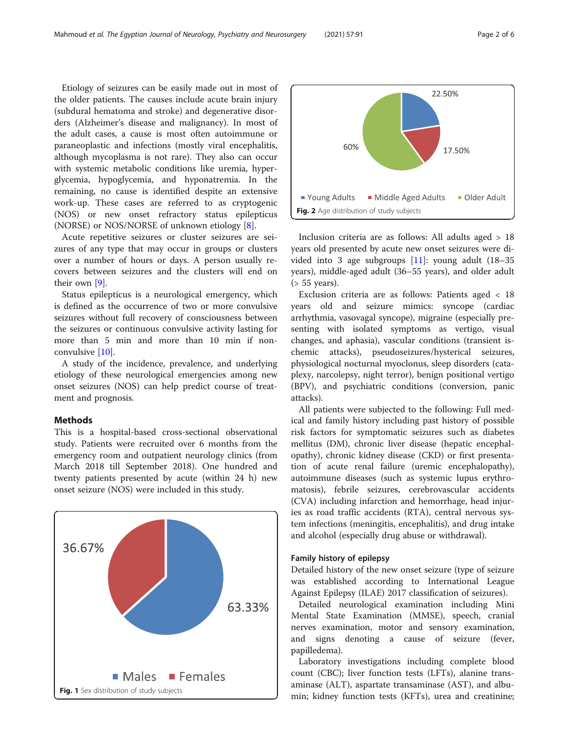<span id="page-1-0"></span>Etiology of seizures can be easily made out in most of the older patients. The causes include acute brain injury (subdural hematoma and stroke) and degenerative disorders (Alzheimer's disease and malignancy). In most of the adult cases, a cause is most often autoimmune or paraneoplastic and infections (mostly viral encephalitis, although mycoplasma is not rare). They also can occur with systemic metabolic conditions like uremia, hyperglycemia, hypoglycemia, and hyponatremia. In the remaining, no cause is identified despite an extensive work-up. These cases are referred to as cryptogenic (NOS) or new onset refractory status epilepticus (NORSE) or NOS/NORSE of unknown etiology [\[8](#page-5-0)].

Acute repetitive seizures or cluster seizures are seizures of any type that may occur in groups or clusters over a number of hours or days. A person usually recovers between seizures and the clusters will end on their own [\[9](#page-5-0)].

Status epilepticus is a neurological emergency, which is defined as the occurrence of two or more convulsive seizures without full recovery of consciousness between the seizures or continuous convulsive activity lasting for more than 5 min and more than 10 min if nonconvulsive [\[10](#page-5-0)].

A study of the incidence, prevalence, and underlying etiology of these neurological emergencies among new onset seizures (NOS) can help predict course of treatment and prognosis.

# Methods

This is a hospital-based cross-sectional observational study. Patients were recruited over 6 months from the emergency room and outpatient neurology clinics (from March 2018 till September 2018). One hundred and twenty patients presented by acute (within 24 h) new onset seizure (NOS) were included in this study.





Inclusion criteria are as follows: All adults aged > 18 years old presented by acute new onset seizures were divided into 3 age subgroups [\[11\]](#page-5-0): young adult (18–35 years), middle-aged adult (36–55 years), and older adult (> 55 years).

Exclusion criteria are as follows: Patients aged < 18 years old and seizure mimics: syncope (cardiac arrhythmia, vasovagal syncope), migraine (especially presenting with isolated symptoms as vertigo, visual changes, and aphasia), vascular conditions (transient ischemic attacks), pseudoseizures/hysterical seizures, physiological nocturnal myoclonus, sleep disorders (cataplexy, narcolepsy, night terror), benign positional vertigo (BPV), and psychiatric conditions (conversion, panic attacks).

All patients were subjected to the following: Full medical and family history including past history of possible risk factors for symptomatic seizures such as diabetes mellitus (DM), chronic liver disease (hepatic encephalopathy), chronic kidney disease (CKD) or first presentation of acute renal failure (uremic encephalopathy), autoimmune diseases (such as systemic lupus erythromatosis), febrile seizures, cerebrovascular accidents (CVA) including infarction and hemorrhage, head injuries as road traffic accidents (RTA), central nervous system infections (meningitis, encephalitis), and drug intake and alcohol (especially drug abuse or withdrawal).

# Family history of epilepsy

Detailed history of the new onset seizure (type of seizure was established according to International League Against Epilepsy (ILAE) 2017 classification of seizures).

Detailed neurological examination including Mini Mental State Examination (MMSE), speech, cranial nerves examination, motor and sensory examination, and signs denoting a cause of seizure (fever, papilledema).

Laboratory investigations including complete blood count (CBC); liver function tests (LFTs), alanine transaminase (ALT), aspartate transaminase (AST), and albu-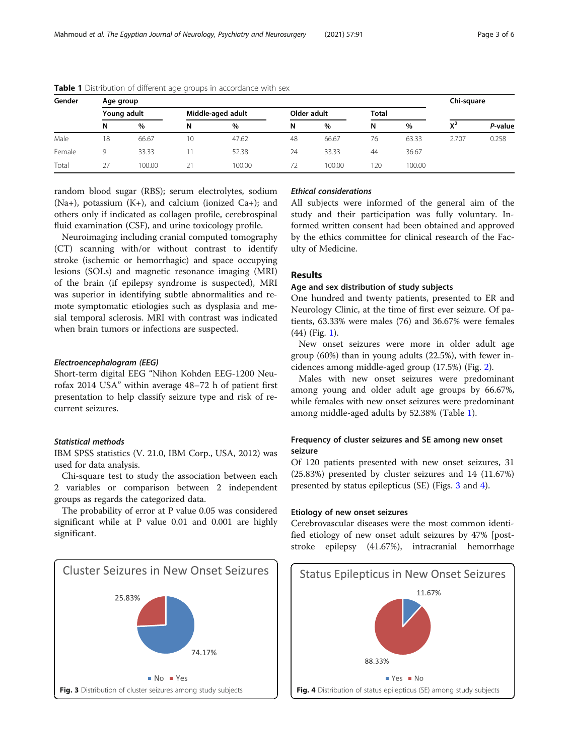| Gender | Age group   |        |                   |        |             |        |              |        | Chi-square |         |
|--------|-------------|--------|-------------------|--------|-------------|--------|--------------|--------|------------|---------|
|        | Young adult |        | Middle-aged adult |        | Older adult |        | <b>Total</b> |        |            |         |
|        | N           | $\%$   | N                 | %      | N           | %      | N            | %      | $X^2$      | P-value |
| Male   | 18          | 66.67  | 10                | 47.62  | 48          | 66.67  | 76           | 63.33  | 2.707      | 0.258   |
| Female | Q           | 33.33  |                   | 52.38  | 24          | 33.33  | 44           | 36.67  |            |         |
| Total  | 27          | 100.00 | 21                | 100.00 | 72          | 100.00 | 120          | 100.00 |            |         |

Table 1 Distribution of different age groups in accordance with sex

random blood sugar (RBS); serum electrolytes, sodium (Na+), potassium  $(K+)$ , and calcium (ionized Ca+); and others only if indicated as collagen profile, cerebrospinal fluid examination (CSF), and urine toxicology profile.

Neuroimaging including cranial computed tomography (CT) scanning with/or without contrast to identify stroke (ischemic or hemorrhagic) and space occupying lesions (SOLs) and magnetic resonance imaging (MRI) of the brain (if epilepsy syndrome is suspected), MRI was superior in identifying subtle abnormalities and remote symptomatic etiologies such as dysplasia and mesial temporal sclerosis. MRI with contrast was indicated when brain tumors or infections are suspected.

# Electroencephalogram (EEG)

Short-term digital EEG "Nihon Kohden EEG-1200 Neurofax 2014 USA" within average 48–72 h of patient first presentation to help classify seizure type and risk of recurrent seizures.

# Statistical methods

IBM SPSS statistics (V. 21.0, IBM Corp., USA, 2012) was used for data analysis.

Chi-square test to study the association between each 2 variables or comparison between 2 independent groups as regards the categorized data.

The probability of error at P value 0.05 was considered significant while at P value 0.01 and 0.001 are highly significant.



# Ethical considerations

All subjects were informed of the general aim of the study and their participation was fully voluntary. Informed written consent had been obtained and approved by the ethics committee for clinical research of the Faculty of Medicine.

# Results

# Age and sex distribution of study subjects

One hundred and twenty patients, presented to ER and Neurology Clinic, at the time of first ever seizure. Of patients, 63.33% were males (76) and 36.67% were females (44) (Fig. [1](#page-1-0)).

New onset seizures were more in older adult age group (60%) than in young adults (22.5%), with fewer incidences among middle-aged group (17.5%) (Fig. [2\)](#page-1-0).

Males with new onset seizures were predominant among young and older adult age groups by 66.67%, while females with new onset seizures were predominant among middle-aged adults by 52.38% (Table 1).

# Frequency of cluster seizures and SE among new onset seizure

Of 120 patients presented with new onset seizures, 31 (25.83%) presented by cluster seizures and 14 (11.67%) presented by status epilepticus (SE) (Figs. 3 and 4).

# Etiology of new onset seizures

Cerebrovascular diseases were the most common identified etiology of new onset adult seizures by 47% [poststroke epilepsy (41.67%), intracranial hemorrhage

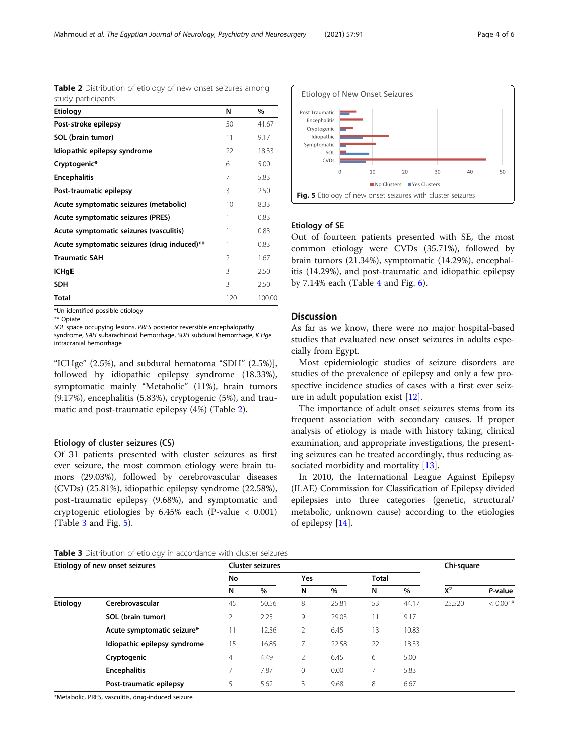\*Un-identified possible etiology \*\* Opiate

SOL space occupying lesions, PRES posterior reversible encephalopathy

syndrome, SAH subarachinoid hemorrhage, SDH subdural hemorrhage, ICHge intracranial hemorrhage

Acute symptomatic seizures (vasculitis) 1 0.83 Acute symptomatic seizures (drug induced)\*\* 1 0.83 **Traumatic SAH 2 1.67 ICHgE**  $3 \t 2.50$ **SDH**  $3$  2.50 **Total** 120 100.00

Table 2 Distribution of etiology of new onset seizures among

"ICHge" (2.5%), and subdural hematoma "SDH" (2.5%)], followed by idiopathic epilepsy syndrome (18.33%), symptomatic mainly "Metabolic" (11%), brain tumors (9.17%), encephalitis (5.83%), cryptogenic (5%), and traumatic and post-traumatic epilepsy (4%) (Table 2).

# Etiology of cluster seizures (CS)

Of 31 patients presented with cluster seizures as first ever seizure, the most common etiology were brain tumors (29.03%), followed by cerebrovascular diseases (CVDs) (25.81%), idiopathic epilepsy syndrome (22.58%), post-traumatic epilepsy (9.68%), and symptomatic and cryptogenic etiologies by 6.45% each (P-value < 0.001) (Table 3 and Fig. 5).



| *Metabolic, PRES, vasculitis, drug-induced seizure |  |
|----------------------------------------------------|--|
|----------------------------------------------------|--|



 $\overline{20}$ 

No Clusters PYes Clusters

 $30^{\circ}$ 

 $40$ 

50

by  $7.14\%$  $7.14\%$  $7.14\%$  each (Table 4 and Fig. [6\)](#page-4-0).

 $10$ 

# Discussion

Etiology of new onset seizures Cluster seizures Chi-square

**SOL (brain tumor)** 2 2.25 9 29.03 11 9.17 **Acute symptomatic seizure\*** 11 12.36 2 6.45 13 10.83 **Idiopathic epilepsy syndrome** 15 16.85 7 22.58 22 18.33 **Cryptogenic** 4 4.49 2 6.45 6 5.00 **Encephalitis** 7 7.87 0 0.00 7 5.83 **Post-traumatic epilepsy**  $5$   $5.62$   $3$   $9.68$   $8$   $6.67$ 

Etiology Cerebrovascular 45 50.56 8 25.81 53 44.17 25.520 < 0.001\*

No Yes Total

As far as we know, there were no major hospital-based studies that evaluated new onset seizures in adults especially from Egypt.

Most epidemiologic studies of seizure disorders are studies of the prevalence of epilepsy and only a few prospective incidence studies of cases with a first ever seizure in adult population exist [\[12](#page-5-0)].

The importance of adult onset seizures stems from its frequent association with secondary causes. If proper analysis of etiology is made with history taking, clinical examination, and appropriate investigations, the presenting seizures can be treated accordingly, thus reducing as-sociated morbidity and mortality [[13\]](#page-5-0).

In 2010, the International League Against Epilepsy (ILAE) Commission for Classification of Epilepsy divided epilepsies into three categories (genetic, structural/ metabolic, unknown cause) according to the etiologies of epilepsy [\[14](#page-5-0)].

N % N % N %  $X^2$  P-value

| Mahmoud et al. The Eqyptian Journal of Neurology, Psychiatry and Neurosurgery | $(2021)$ 57:91 | Page 4 of 6 |
|-------------------------------------------------------------------------------|----------------|-------------|
|-------------------------------------------------------------------------------|----------------|-------------|

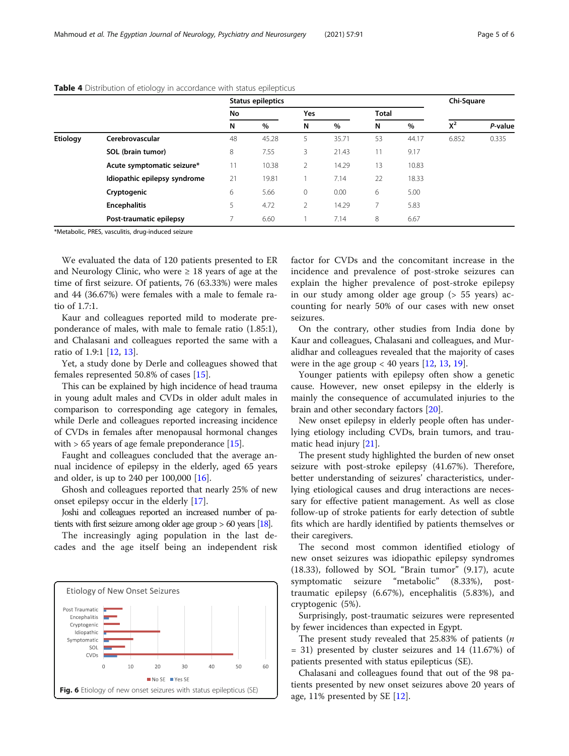|          |                              | Status epileptics |               |              |              |                          | Chi-Square    |       |         |
|----------|------------------------------|-------------------|---------------|--------------|--------------|--------------------------|---------------|-------|---------|
|          |                              | No                |               | Yes          |              | <b>Total</b>             |               |       |         |
|          |                              | N                 | $\%$          | N            | $\%$         | N                        | %             | $X^2$ | P-value |
| Etiology | Cerebrovascular              | 48                | 45.28         | 5.           | 35.71        | 53                       | 44.17         | 6.852 | 0.335   |
|          | SOL (brain tumor)            | 8                 | 7.55          | 3            | 21.43        | ш                        | 9.17          |       |         |
|          | Acute symptomatic seizure*   | 11                | 10.38         |              | 14.29        | 13                       | 10.83         |       |         |
|          | Idiopathic epilepsy syndrome | 21<br>6           | 19.81<br>5.66 | $\mathbf{0}$ | 7.14<br>0.00 | 22<br>6                  | 18.33<br>5.00 |       |         |
|          | Cryptogenic                  |                   |               |              |              |                          |               |       |         |
|          | <b>Encephalitis</b>          | 5                 | 4.72          | 2            | 14.29        | $\overline{\phantom{a}}$ | 5.83          |       |         |
|          | Post-traumatic epilepsy      |                   | 6.60          |              | 7.14         | 8                        | 6.67          |       |         |

# <span id="page-4-0"></span>Table 4 Distribution of etiology in accordance with status epilepticus

\*Metabolic, PRES, vasculitis, drug-induced seizure

We evaluated the data of 120 patients presented to ER and Neurology Clinic, who were  $\geq 18$  years of age at the time of first seizure. Of patients, 76 (63.33%) were males and 44 (36.67%) were females with a male to female ratio of 1.7:1.

Kaur and colleagues reported mild to moderate preponderance of males, with male to female ratio (1.85:1), and Chalasani and colleagues reported the same with a ratio of 1.9:1 [[12](#page-5-0), [13](#page-5-0)].

Yet, a study done by Derle and colleagues showed that females represented 50.8% of cases [\[15](#page-5-0)].

This can be explained by high incidence of head trauma in young adult males and CVDs in older adult males in comparison to corresponding age category in females, while Derle and colleagues reported increasing incidence of CVDs in females after menopausal hormonal changes with  $> 65$  years of age female preponderance [[15](#page-5-0)].

Faught and colleagues concluded that the average annual incidence of epilepsy in the elderly, aged 65 years and older, is up to 240 per 100,000 [\[16](#page-5-0)].

Ghosh and colleagues reported that nearly 25% of new onset epilepsy occur in the elderly [[17\]](#page-5-0).

Joshi and colleagues reported an increased number of patients with first seizure among older age group > 60 years [\[18\]](#page-5-0).

The increasingly aging population in the last decades and the age itself being an independent risk



factor for CVDs and the concomitant increase in the incidence and prevalence of post-stroke seizures can explain the higher prevalence of post-stroke epilepsy in our study among older age group (> 55 years) accounting for nearly 50% of our cases with new onset seizures.

On the contrary, other studies from India done by Kaur and colleagues, Chalasani and colleagues, and Muralidhar and colleagues revealed that the majority of cases were in the age group  $< 40$  years [[12,](#page-5-0) [13,](#page-5-0) [19\]](#page-5-0).

Younger patients with epilepsy often show a genetic cause. However, new onset epilepsy in the elderly is mainly the consequence of accumulated injuries to the brain and other secondary factors [[20](#page-5-0)].

New onset epilepsy in elderly people often has underlying etiology including CVDs, brain tumors, and traumatic head injury [[21](#page-5-0)].

The present study highlighted the burden of new onset seizure with post-stroke epilepsy (41.67%). Therefore, better understanding of seizures' characteristics, underlying etiological causes and drug interactions are necessary for effective patient management. As well as close follow-up of stroke patients for early detection of subtle fits which are hardly identified by patients themselves or their caregivers.

The second most common identified etiology of new onset seizures was idiopathic epilepsy syndromes (18.33), followed by SOL "Brain tumor" (9.17), acute symptomatic seizure "metabolic" (8.33%), posttraumatic epilepsy (6.67%), encephalitis (5.83%), and cryptogenic (5%).

Surprisingly, post-traumatic seizures were represented by fewer incidences than expected in Egypt.

The present study revealed that  $25.83\%$  of patients (*n* = 31) presented by cluster seizures and 14 (11.67%) of patients presented with status epilepticus (SE).

Chalasani and colleagues found that out of the 98 patients presented by new onset seizures above 20 years of age, 11% presented by SE [[12](#page-5-0)].